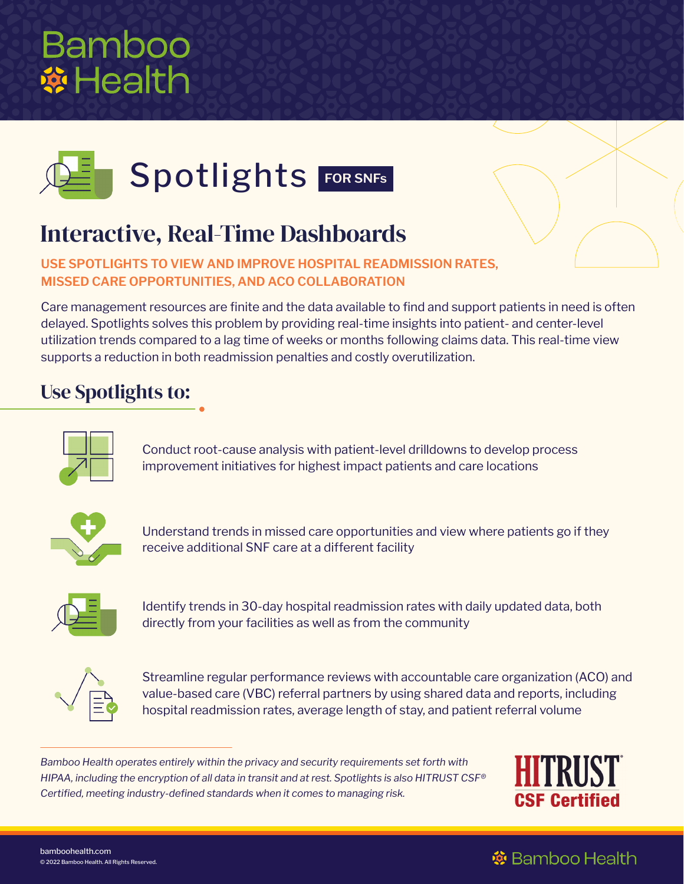



# Interactive, Real-Time Dashboards

**USE SPOTLIGHTS TO VIEW AND IMPROVE HOSPITAL READMISSION RATES, MISSED CARE OPPORTUNITIES, AND ACO COLLABORATION** 

Care management resources are finite and the data available to find and support patients in need is often delayed. Spotlights solves this problem by providing real-time insights into patient- and center-level utilization trends compared to a lag time of weeks or months following claims data. This real-time view supports a reduction in both readmission penalties and costly overutilization.

## Use Spotlights to:



Conduct root-cause analysis with patient-level drilldowns to develop process improvement initiatives for highest impact patients and care locations



Understand trends in missed care opportunities and view where patients go if they receive additional SNF care at a different facility



Identify trends in 30-day hospital readmission rates with daily updated data, both directly from your facilities as well as from the community



Streamline regular performance reviews with accountable care organization (ACO) and value-based care (VBC) referral partners by using shared data and reports, including hospital readmission rates, average length of stay, and patient referral volume

*Bamboo Health operates entirely within the privacy and security requirements set forth with HIPAA, including the encryption of all data in transit and at rest. Spotlights is also HITRUST CSF® Certified, meeting industry-defined standards when it comes to managing risk.* 



### **※** Bamboo Health